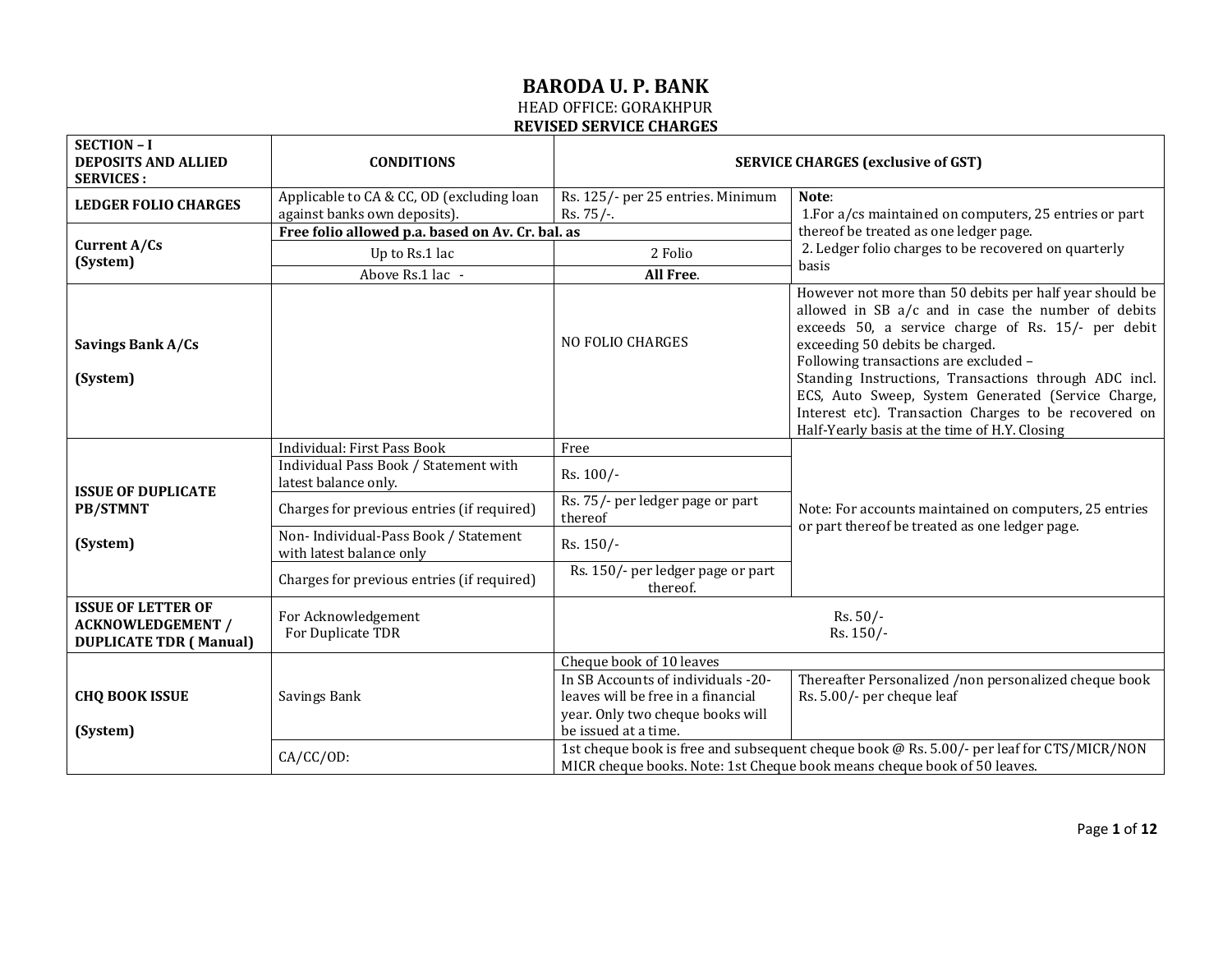| <b>SECTION - I</b><br>DEPOSITS AND ALLIED<br><b>SERVICES:</b>                          | <b>CONDITIONS</b>                                                         | <b>SERVICE CHARGES (exclusive of GST)</b>                                                                                                                             |                                                                                                                                                                                                                                                                                                                                                                                                                                                                          |
|----------------------------------------------------------------------------------------|---------------------------------------------------------------------------|-----------------------------------------------------------------------------------------------------------------------------------------------------------------------|--------------------------------------------------------------------------------------------------------------------------------------------------------------------------------------------------------------------------------------------------------------------------------------------------------------------------------------------------------------------------------------------------------------------------------------------------------------------------|
| <b>LEDGER FOLIO CHARGES</b>                                                            | Applicable to CA & CC, OD (excluding loan<br>against banks own deposits). | Rs. 125/- per 25 entries. Minimum<br>$Rs. 75/-.$                                                                                                                      | Note:<br>1. For a/cs maintained on computers, 25 entries or part                                                                                                                                                                                                                                                                                                                                                                                                         |
|                                                                                        | Free folio allowed p.a. based on Av. Cr. bal. as                          |                                                                                                                                                                       | thereof be treated as one ledger page.                                                                                                                                                                                                                                                                                                                                                                                                                                   |
| Current A/Cs                                                                           | Up to Rs.1 lac                                                            | 2 Folio                                                                                                                                                               | 2. Ledger folio charges to be recovered on quarterly                                                                                                                                                                                                                                                                                                                                                                                                                     |
| (System)                                                                               | Above Rs.1 lac -                                                          | All Free.                                                                                                                                                             | basis                                                                                                                                                                                                                                                                                                                                                                                                                                                                    |
| Savings Bank A/Cs<br>(System)                                                          |                                                                           | <b>NO FOLIO CHARGES</b>                                                                                                                                               | However not more than 50 debits per half year should be<br>allowed in SB a/c and in case the number of debits<br>exceeds 50, a service charge of Rs. 15/- per debit<br>exceeding 50 debits be charged.<br>Following transactions are excluded -<br>Standing Instructions, Transactions through ADC incl.<br>ECS, Auto Sweep, System Generated (Service Charge,<br>Interest etc). Transaction Charges to be recovered on<br>Half-Yearly basis at the time of H.Y. Closing |
|                                                                                        | Individual: First Pass Book                                               | Free                                                                                                                                                                  |                                                                                                                                                                                                                                                                                                                                                                                                                                                                          |
|                                                                                        | Individual Pass Book / Statement with<br>latest balance only.             | Rs. 100/-                                                                                                                                                             |                                                                                                                                                                                                                                                                                                                                                                                                                                                                          |
| <b>ISSUE OF DUPLICATE</b><br><b>PB/STMNT</b>                                           | Charges for previous entries (if required)                                | Rs. 75/- per ledger page or part<br>thereof                                                                                                                           | Note: For accounts maintained on computers, 25 entries                                                                                                                                                                                                                                                                                                                                                                                                                   |
| (System)                                                                               | Non-Individual-Pass Book / Statement<br>with latest balance only          | Rs. 150/-                                                                                                                                                             | or part thereof be treated as one ledger page.                                                                                                                                                                                                                                                                                                                                                                                                                           |
|                                                                                        | Charges for previous entries (if required)                                | Rs. 150/- per ledger page or part<br>thereof.                                                                                                                         |                                                                                                                                                                                                                                                                                                                                                                                                                                                                          |
| <b>ISSUE OF LETTER OF</b><br><b>ACKNOWLEDGEMENT /</b><br><b>DUPLICATE TDR (Manual)</b> | For Acknowledgement<br>For Duplicate TDR                                  | $Rs. 50/-$<br>Rs. 150/-                                                                                                                                               |                                                                                                                                                                                                                                                                                                                                                                                                                                                                          |
|                                                                                        |                                                                           | Cheque book of 10 leaves                                                                                                                                              |                                                                                                                                                                                                                                                                                                                                                                                                                                                                          |
| <b>CHQ BOOK ISSUE</b><br>(System)                                                      | Savings Bank                                                              | In SB Accounts of individuals -20-<br>leaves will be free in a financial<br>year. Only two cheque books will<br>be issued at a time.                                  | Thereafter Personalized /non personalized cheque book<br>Rs. 5.00/- per cheque leaf                                                                                                                                                                                                                                                                                                                                                                                      |
|                                                                                        | $CA/CC/OD$ :                                                              | 1st cheque book is free and subsequent cheque book @ Rs. 5.00/- per leaf for CTS/MICR/NON<br>MICR cheque books. Note: 1st Cheque book means cheque book of 50 leaves. |                                                                                                                                                                                                                                                                                                                                                                                                                                                                          |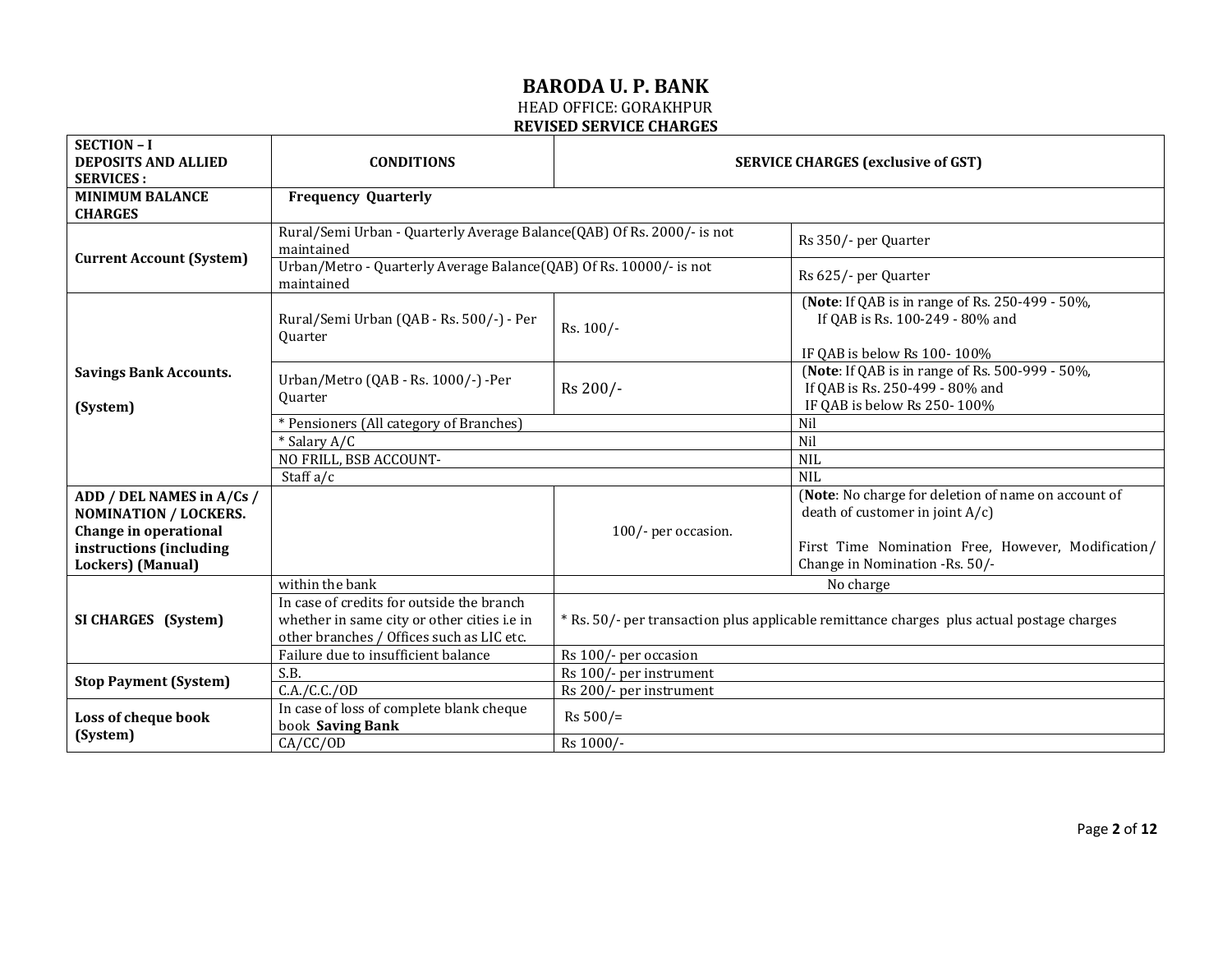| <b>SECTION - I</b>                           |                                                                                                                                       |                                                                                           |                                                                                                                   |  |
|----------------------------------------------|---------------------------------------------------------------------------------------------------------------------------------------|-------------------------------------------------------------------------------------------|-------------------------------------------------------------------------------------------------------------------|--|
| <b>DEPOSITS AND ALLIED</b>                   | <b>CONDITIONS</b>                                                                                                                     |                                                                                           | <b>SERVICE CHARGES (exclusive of GST)</b>                                                                         |  |
| <b>SERVICES:</b><br><b>MINIMUM BALANCE</b>   |                                                                                                                                       |                                                                                           |                                                                                                                   |  |
| <b>CHARGES</b>                               | <b>Frequency Quarterly</b>                                                                                                            |                                                                                           |                                                                                                                   |  |
|                                              | Rural/Semi Urban - Quarterly Average Balance(QAB) Of Rs. 2000/- is not<br>maintained                                                  |                                                                                           | Rs 350/- per Quarter                                                                                              |  |
| <b>Current Account (System)</b>              | Urban/Metro - Quarterly Average Balance(QAB) Of Rs. 10000/- is not<br>maintained                                                      |                                                                                           | Rs 625/- per Quarter                                                                                              |  |
|                                              | Rural/Semi Urban (QAB - Rs. 500/-) - Per<br><b>Ouarter</b>                                                                            | Rs. 100/-                                                                                 | (Note: If QAB is in range of Rs. 250-499 - 50%,<br>If QAB is Rs. 100-249 - 80% and<br>IF QAB is below Rs 100-100% |  |
| <b>Savings Bank Accounts.</b><br>(System)    | Urban/Metro (QAB - Rs. 1000/-) -Per<br>Quarter                                                                                        | Rs 200/-                                                                                  | (Note: If QAB is in range of Rs. 500-999 - 50%,<br>If QAB is Rs. 250-499 - 80% and<br>IF QAB is below Rs 250-100% |  |
|                                              | * Pensioners (All category of Branches)                                                                                               |                                                                                           | Nil                                                                                                               |  |
|                                              | * Salary A/C                                                                                                                          |                                                                                           | Nil                                                                                                               |  |
|                                              | NO FRILL, BSB ACCOUNT-                                                                                                                |                                                                                           | <b>NIL</b>                                                                                                        |  |
|                                              | Staff $a/c$                                                                                                                           |                                                                                           | <b>NIL</b>                                                                                                        |  |
| ADD / DEL NAMES in A/Cs /                    |                                                                                                                                       |                                                                                           | (Note: No charge for deletion of name on account of                                                               |  |
| <b>NOMINATION / LOCKERS.</b>                 |                                                                                                                                       |                                                                                           | death of customer in joint $A/c$ )                                                                                |  |
| Change in operational                        |                                                                                                                                       | 100/- per occasion.                                                                       |                                                                                                                   |  |
| instructions (including<br>Lockers) (Manual) |                                                                                                                                       |                                                                                           | First Time Nomination Free, However, Modification/<br>Change in Nomination -Rs. 50/-                              |  |
|                                              | within the bank                                                                                                                       |                                                                                           | No charge                                                                                                         |  |
| SI CHARGES (System)                          | In case of credits for outside the branch<br>whether in same city or other cities i.e in<br>other branches / Offices such as LIC etc. | * Rs. 50/- per transaction plus applicable remittance charges plus actual postage charges |                                                                                                                   |  |
|                                              | Failure due to insufficient balance                                                                                                   | Rs 100/- per occasion                                                                     |                                                                                                                   |  |
|                                              | S.B.                                                                                                                                  | Rs 100/- per instrument                                                                   |                                                                                                                   |  |
| <b>Stop Payment (System)</b>                 | C.A./C.C./OD                                                                                                                          | Rs 200/- per instrument                                                                   |                                                                                                                   |  |
| Loss of cheque book<br>(System)              | In case of loss of complete blank cheque<br>book Saving Bank                                                                          | $Rs 500/=$                                                                                |                                                                                                                   |  |
|                                              | CA/CC/OD                                                                                                                              | Rs 1000/-                                                                                 |                                                                                                                   |  |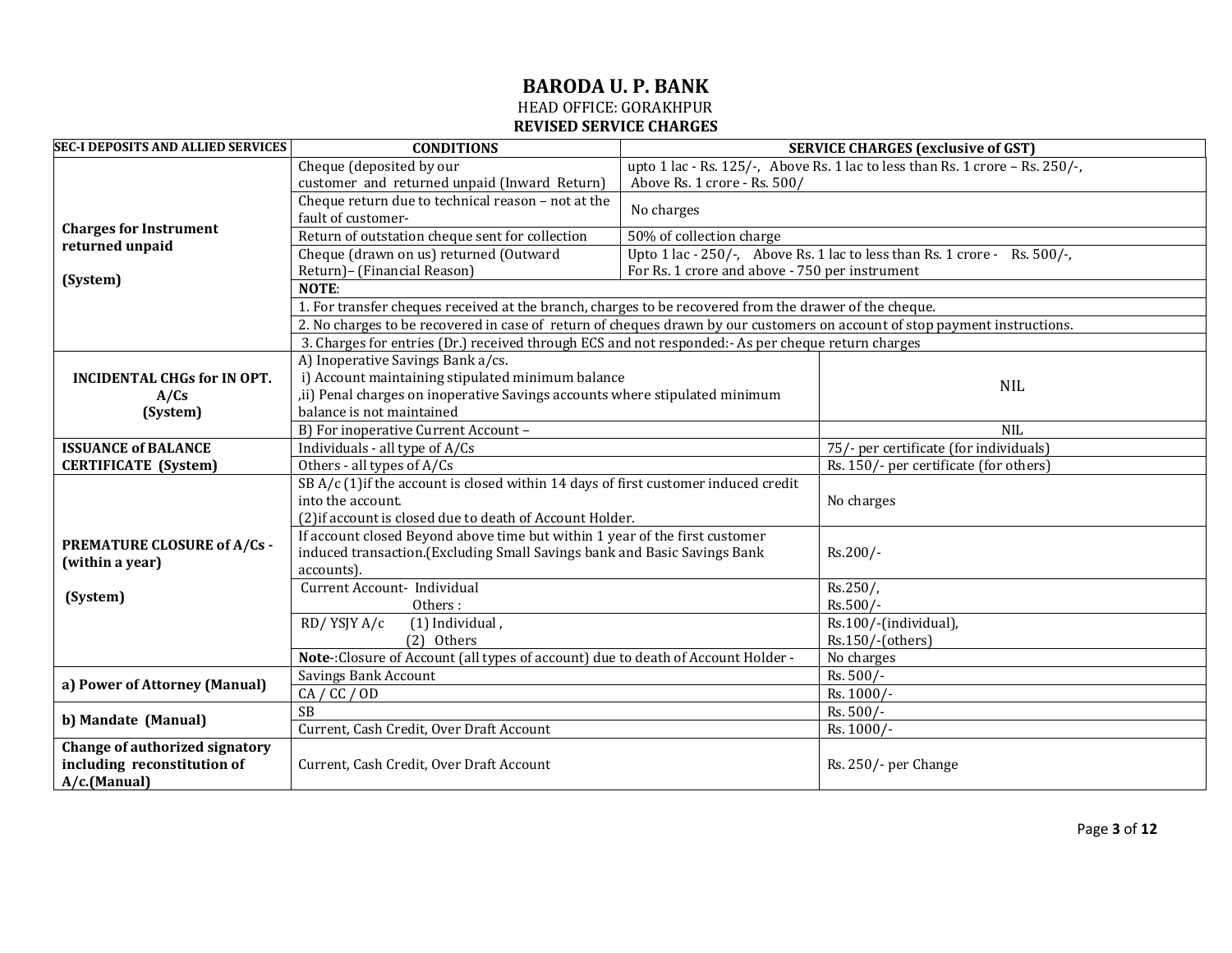#### **BARODA U. P. BANK** HEAD OFFICE: GORAKHPUR

# **REVISED SERVICE CHARGES**

| <b>SEC-I DEPOSITS AND ALLIED SERVICES</b>        | <b>CONDITIONS</b>                                                                                                          |                                                | <b>SERVICE CHARGES (exclusive of GST)</b>                                        |
|--------------------------------------------------|----------------------------------------------------------------------------------------------------------------------------|------------------------------------------------|----------------------------------------------------------------------------------|
|                                                  | Cheque (deposited by our                                                                                                   |                                                | upto 1 lac - Rs. 125/-, Above Rs. 1 lac to less than Rs. 1 crore - Rs. $250/$ -, |
|                                                  | customer and returned unpaid (Inward Return)<br>Above Rs. 1 crore - Rs. 500/                                               |                                                |                                                                                  |
|                                                  | Cheque return due to technical reason - not at the                                                                         | No charges                                     |                                                                                  |
|                                                  | fault of customer-                                                                                                         |                                                |                                                                                  |
| <b>Charges for Instrument</b><br>returned unpaid | Return of outstation cheque sent for collection                                                                            | 50% of collection charge                       |                                                                                  |
|                                                  | Cheque (drawn on us) returned (Outward                                                                                     |                                                | Upto 1 lac - 250/-, Above Rs. 1 lac to less than Rs. 1 crore - Rs. 500/-,        |
| (System)                                         | Return)- (Financial Reason)                                                                                                | For Rs. 1 crore and above - 750 per instrument |                                                                                  |
|                                                  | NOTE:                                                                                                                      |                                                |                                                                                  |
|                                                  | 1. For transfer cheques received at the branch, charges to be recovered from the drawer of the cheque.                     |                                                |                                                                                  |
|                                                  | 2. No charges to be recovered in case of return of cheques drawn by our customers on account of stop payment instructions. |                                                |                                                                                  |
|                                                  | 3. Charges for entries (Dr.) received through ECS and not responded:- As per cheque return charges                         |                                                |                                                                                  |
|                                                  | A) Inoperative Savings Bank a/cs.                                                                                          |                                                |                                                                                  |
| <b>INCIDENTAL CHGs for IN OPT.</b>               | i) Account maintaining stipulated minimum balance                                                                          |                                                | <b>NIL</b>                                                                       |
| A/Cs                                             | , ii) Penal charges on inoperative Savings accounts where stipulated minimum                                               |                                                |                                                                                  |
| (System)                                         | balance is not maintained                                                                                                  |                                                |                                                                                  |
|                                                  | B) For inoperative Current Account -                                                                                       | <b>NIL</b>                                     |                                                                                  |
| <b>ISSUANCE of BALANCE</b>                       | Individuals - all type of A/Cs                                                                                             |                                                | 75/- per certificate (for individuals)                                           |
| <b>CERTIFICATE</b> (System)                      | Others - all types of A/Cs                                                                                                 |                                                | Rs. 150/- per certificate (for others)                                           |
|                                                  | SB A/c (1) if the account is closed within 14 days of first customer induced credit                                        |                                                |                                                                                  |
|                                                  | into the account.                                                                                                          |                                                | No charges                                                                       |
|                                                  | (2) if account is closed due to death of Account Holder.                                                                   |                                                |                                                                                  |
| <b>PREMATURE CLOSURE of A/Cs -</b>               | If account closed Beyond above time but within 1 year of the first customer                                                |                                                | Rs.200/-                                                                         |
| (within a year)                                  | induced transaction. (Excluding Small Savings bank and Basic Savings Bank                                                  |                                                |                                                                                  |
|                                                  | accounts).                                                                                                                 |                                                |                                                                                  |
| (System)                                         | Current Account- Individual                                                                                                |                                                | $Rs.250/$ ,                                                                      |
|                                                  | Others:                                                                                                                    |                                                | Rs.500/-                                                                         |
|                                                  | RD/YSJY A/c<br>(1) Individual,                                                                                             |                                                | Rs.100/-(individual),                                                            |
|                                                  | (2) Others                                                                                                                 |                                                | Rs.150/-(others)                                                                 |
|                                                  | Note-:Closure of Account (all types of account) due to death of Account Holder -                                           |                                                | No charges                                                                       |
| a) Power of Attorney (Manual)                    | <b>Savings Bank Account</b>                                                                                                |                                                | Rs. 500/-                                                                        |
|                                                  | CA / CC / OD                                                                                                               |                                                | Rs. 1000/-                                                                       |
| b) Mandate (Manual)                              | SB                                                                                                                         |                                                | Rs. 500/-                                                                        |
|                                                  | Current, Cash Credit, Over Draft Account                                                                                   |                                                | Rs. 1000/-                                                                       |
| Change of authorized signatory                   |                                                                                                                            |                                                |                                                                                  |
| including reconstitution of                      | Current, Cash Credit, Over Draft Account                                                                                   |                                                | Rs. 250/- per Change                                                             |
| A/c.(Manual)                                     |                                                                                                                            |                                                |                                                                                  |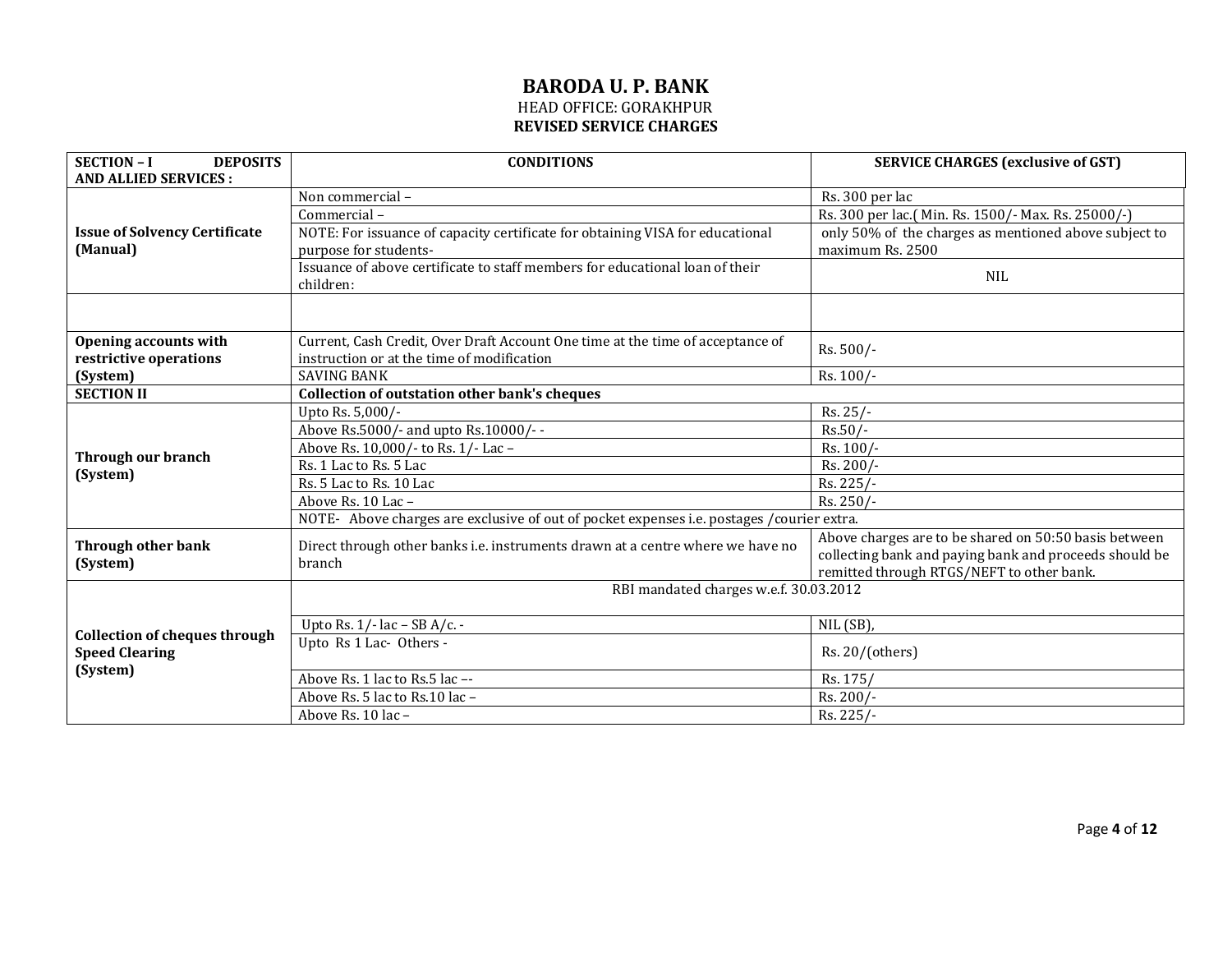| <b>SECTION - I</b><br><b>DEPOSITS</b>                         | <b>CONDITIONS</b>                                                                         | <b>SERVICE CHARGES (exclusive of GST)</b>              |  |
|---------------------------------------------------------------|-------------------------------------------------------------------------------------------|--------------------------------------------------------|--|
| <b>AND ALLIED SERVICES:</b>                                   |                                                                                           |                                                        |  |
|                                                               | Non commercial-                                                                           | Rs. 300 per lac                                        |  |
|                                                               | Commercial-                                                                               | Rs. 300 per lac.( Min. Rs. 1500/- Max. Rs. 25000/-)    |  |
| <b>Issue of Solvency Certificate</b>                          | NOTE: For issuance of capacity certificate for obtaining VISA for educational             | only 50% of the charges as mentioned above subject to  |  |
| (Manual)                                                      | purpose for students-                                                                     | maximum Rs. 2500                                       |  |
|                                                               | Issuance of above certificate to staff members for educational loan of their              | <b>NIL</b>                                             |  |
|                                                               | children:                                                                                 |                                                        |  |
|                                                               |                                                                                           |                                                        |  |
| <b>Opening accounts with</b>                                  | Current, Cash Credit, Over Draft Account One time at the time of acceptance of            | Rs. 500/-                                              |  |
| restrictive operations                                        | instruction or at the time of modification                                                |                                                        |  |
| (System)                                                      | <b>SAVING BANK</b>                                                                        | Rs. 100/-                                              |  |
| <b>SECTION II</b>                                             | <b>Collection of outstation other bank's cheques</b>                                      |                                                        |  |
|                                                               | Upto Rs. 5,000/-                                                                          | $Rs. 25/-$                                             |  |
|                                                               | Above Rs.5000/- and upto Rs.10000/--                                                      | $Rs.50/-$                                              |  |
| Through our branch                                            | Above Rs. 10,000/- to Rs. 1/- Lac-                                                        | Rs. 100/-                                              |  |
| (System)                                                      | Rs. 1 Lac to Rs. 5 Lac                                                                    | Rs. 200/-                                              |  |
|                                                               | Rs. 5 Lac to Rs. 10 Lac                                                                   | Rs. 225/-                                              |  |
|                                                               | Above Rs. 10 Lac-                                                                         | Rs. 250/-                                              |  |
|                                                               | NOTE- Above charges are exclusive of out of pocket expenses i.e. postages /courier extra. |                                                        |  |
| <b>Through other bank</b>                                     | Direct through other banks i.e. instruments drawn at a centre where we have no            | Above charges are to be shared on 50:50 basis between  |  |
| (System)                                                      | branch                                                                                    | collecting bank and paying bank and proceeds should be |  |
|                                                               |                                                                                           | remitted through RTGS/NEFT to other bank.              |  |
|                                                               | RBI mandated charges w.e.f. 30.03.2012                                                    |                                                        |  |
|                                                               | Upto Rs. $1/-$ lac - SB A/c. -                                                            | NIL (SB),                                              |  |
| <b>Collection of cheques through</b><br><b>Speed Clearing</b> | Upto Rs 1 Lac- Others -                                                                   | Rs. 20/(others)                                        |  |
| (System)                                                      | Above Rs. 1 lac to Rs. 5 lac --                                                           | Rs. 175/                                               |  |
|                                                               | Above Rs. 5 lac to Rs. 10 lac -                                                           | Rs. 200/-                                              |  |
|                                                               | Above Rs. 10 lac -                                                                        | Rs. 225/-                                              |  |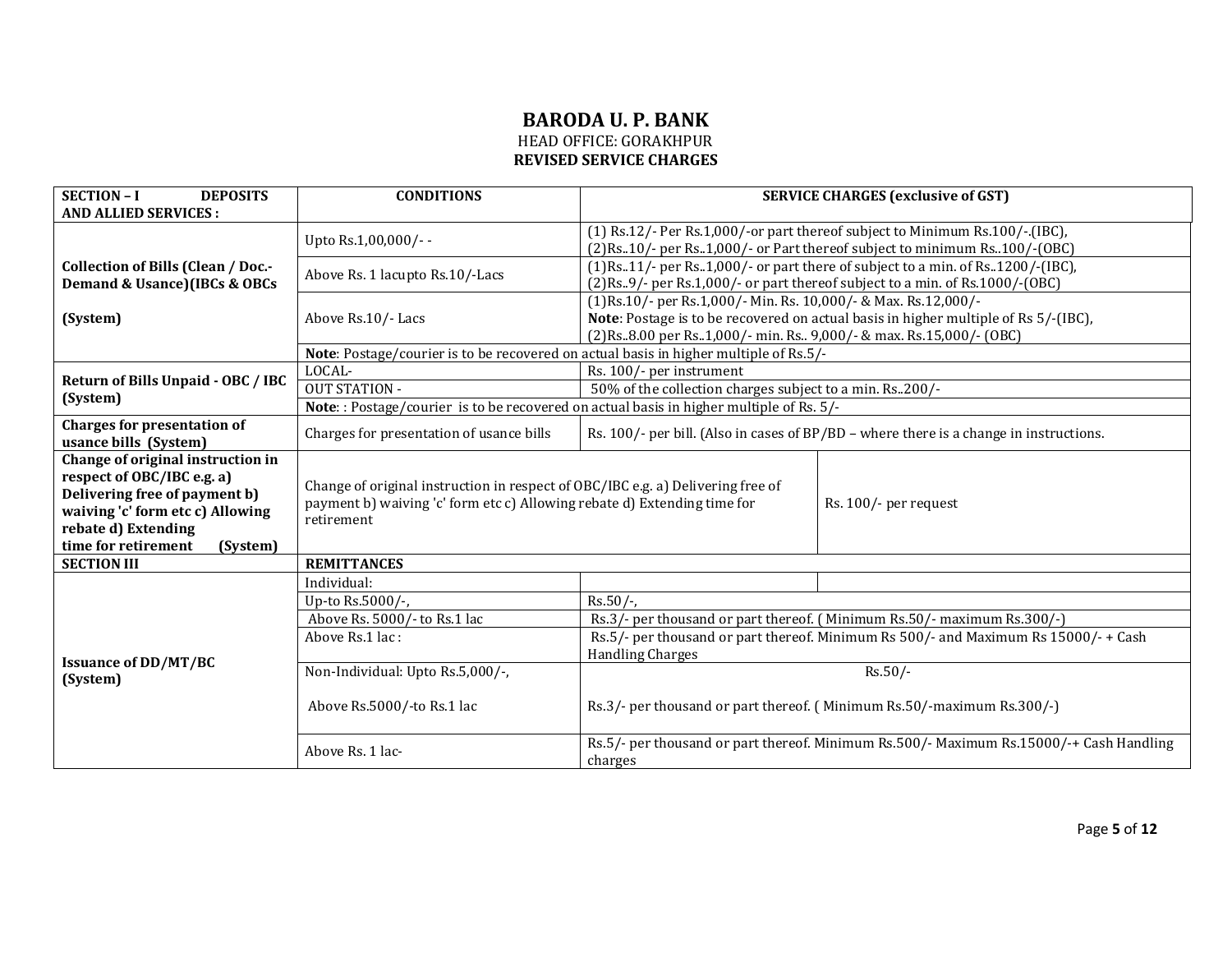# **BARODA U. P. BANK** HEAD OFFICE: GORAKHPUR

**REVISED SERVICE CHARGES** 

| <b>SECTION - I</b><br><b>DEPOSITS</b>                           | <b>CONDITIONS</b>                                                                        | <b>SERVICE CHARGES (exclusive of GST)</b>                                                          |  |
|-----------------------------------------------------------------|------------------------------------------------------------------------------------------|----------------------------------------------------------------------------------------------------|--|
| <b>AND ALLIED SERVICES:</b>                                     |                                                                                          |                                                                                                    |  |
|                                                                 | Upto Rs.1,00,000/--                                                                      | (1) Rs.12/- Per Rs.1,000/-or part thereof subject to Minimum Rs.100/-.(IBC),                       |  |
|                                                                 |                                                                                          | (2) Rs. 10/- per Rs. 1,000/- or Part thereof subject to minimum Rs. 100/-(OBC)                     |  |
| <b>Collection of Bills (Clean / Doc.-</b>                       | Above Rs. 1 lacupto Rs. 10/-Lacs                                                         | $(1)$ Rs11/- per Rs1,000/- or part there of subject to a min. of Rs1200/-(IBC),                    |  |
| Demand & Usance)(IBCs & OBCs                                    |                                                                                          | (2)Rs9/- per Rs.1,000/- or part thereof subject to a min. of Rs.1000/-(OBC)                        |  |
|                                                                 |                                                                                          | (1)Rs.10/- per Rs.1,000/- Min. Rs. 10,000/- & Max. Rs.12,000/-                                     |  |
| (System)                                                        | Above Rs.10/- Lacs                                                                       | Note: Postage is to be recovered on actual basis in higher multiple of Rs 5/-(IBC),                |  |
|                                                                 |                                                                                          | (2)Rs8.00 per Rs1,000/- min. Rs 9,000/- & max. Rs.15,000/- (OBC)                                   |  |
|                                                                 | Note: Postage/courier is to be recovered on actual basis in higher multiple of Rs.5/-    |                                                                                                    |  |
| Return of Bills Unpaid - OBC / IBC                              | LOCAL-                                                                                   | Rs. 100/- per instrument                                                                           |  |
| (System)                                                        | <b>OUT STATION -</b>                                                                     | 50% of the collection charges subject to a min. Rs. 200/-                                          |  |
|                                                                 | Note: : Postage/courier is to be recovered on actual basis in higher multiple of Rs. 5/- |                                                                                                    |  |
| <b>Charges for presentation of</b>                              | Charges for presentation of usance bills                                                 | Rs. $100/-$ per bill. (Also in cases of BP/BD – where there is a change in instructions.           |  |
| usance bills (System)                                           |                                                                                          |                                                                                                    |  |
| Change of original instruction in<br>respect of OBC/IBC e.g. a) |                                                                                          |                                                                                                    |  |
| Delivering free of payment b)                                   | Change of original instruction in respect of OBC/IBC e.g. a) Delivering free of          |                                                                                                    |  |
| waiving 'c' form etc c) Allowing                                | payment b) waiving 'c' form etc c) Allowing rebate d) Extending time for                 | Rs. 100/- per request                                                                              |  |
| rebate d) Extending                                             | retirement                                                                               |                                                                                                    |  |
| time for retirement<br>(System)                                 |                                                                                          |                                                                                                    |  |
| <b>SECTION III</b>                                              | <b>REMITTANCES</b>                                                                       |                                                                                                    |  |
|                                                                 | Individual:                                                                              |                                                                                                    |  |
|                                                                 | Up-to Rs.5000/-,                                                                         | $Rs.50/-$                                                                                          |  |
|                                                                 | Above Rs. 5000/- to Rs.1 lac                                                             | Rs.3/- per thousand or part thereof. (Minimum Rs.50/- maximum Rs.300/-)                            |  |
|                                                                 | Above Rs.1 lac:                                                                          | Rs.5/- per thousand or part thereof. Minimum Rs 500/- and Maximum Rs 15000/- + Cash                |  |
| <b>Issuance of DD/MT/BC</b>                                     |                                                                                          | <b>Handling Charges</b>                                                                            |  |
| (System)                                                        | Non-Individual: Upto Rs.5,000/-,                                                         | $Rs.50/-$                                                                                          |  |
|                                                                 | Above Rs.5000/-to Rs.1 lac                                                               | Rs.3/- per thousand or part thereof. (Minimum Rs.50/-maximum Rs.300/-)                             |  |
|                                                                 |                                                                                          |                                                                                                    |  |
|                                                                 | Above Rs. 1 lac-                                                                         | Rs.5/- per thousand or part thereof. Minimum Rs.500/- Maximum Rs.15000/-+ Cash Handling<br>charges |  |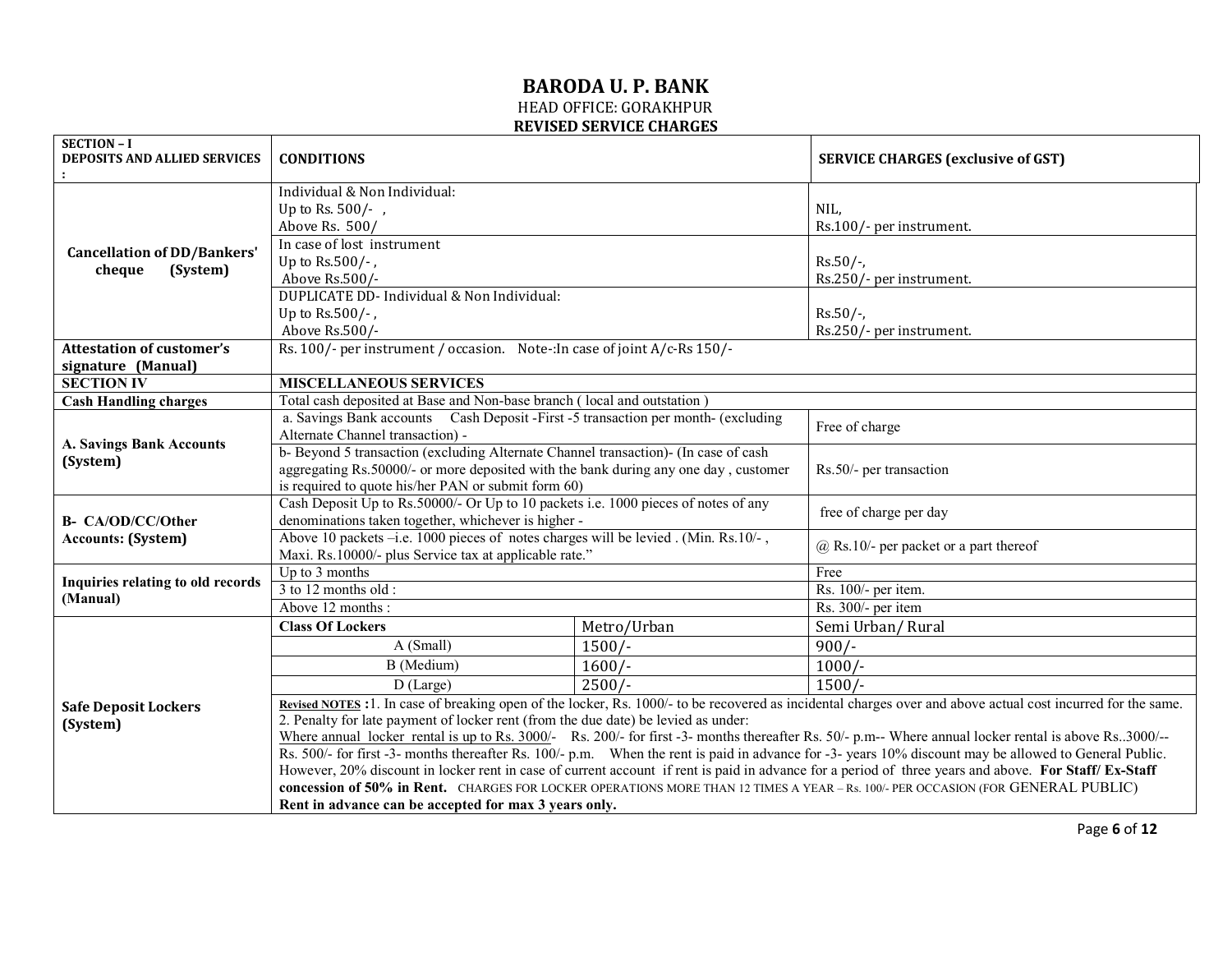| <b>SECTION - I</b><br>DEPOSITS AND ALLIED SERVICES | <b>CONDITIONS</b>                                                                                                                                       |             | <b>SERVICE CHARGES (exclusive of GST)</b>                                                                                                                    |
|----------------------------------------------------|---------------------------------------------------------------------------------------------------------------------------------------------------------|-------------|--------------------------------------------------------------------------------------------------------------------------------------------------------------|
|                                                    |                                                                                                                                                         |             |                                                                                                                                                              |
|                                                    | Individual & Non Individual:                                                                                                                            |             |                                                                                                                                                              |
|                                                    | Up to Rs. 500/-,                                                                                                                                        |             | NIL,                                                                                                                                                         |
|                                                    | Above Rs. 500/                                                                                                                                          |             | Rs.100/- per instrument.                                                                                                                                     |
| <b>Cancellation of DD/Bankers'</b>                 | In case of lost instrument                                                                                                                              |             |                                                                                                                                                              |
| (System)<br>cheque                                 | Up to $Rs.500/-$ ,                                                                                                                                      |             | $Rs.50/-$                                                                                                                                                    |
|                                                    | Above Rs.500/-                                                                                                                                          |             | Rs.250/- per instrument.                                                                                                                                     |
|                                                    | DUPLICATE DD- Individual & Non Individual:                                                                                                              |             |                                                                                                                                                              |
|                                                    | Up to $Rs.500/-$ ,                                                                                                                                      |             | $Rs.50/-$                                                                                                                                                    |
|                                                    | Above Rs.500/-                                                                                                                                          |             | Rs.250/- per instrument.                                                                                                                                     |
| <b>Attestation of customer's</b>                   | Rs. 100/- per instrument / occasion. Note-: In case of joint A/c-Rs 150/-                                                                               |             |                                                                                                                                                              |
| signature (Manual)                                 |                                                                                                                                                         |             |                                                                                                                                                              |
| <b>SECTION IV</b>                                  | <b>MISCELLANEOUS SERVICES</b>                                                                                                                           |             |                                                                                                                                                              |
| <b>Cash Handling charges</b>                       | Total cash deposited at Base and Non-base branch (local and outstation)                                                                                 |             |                                                                                                                                                              |
|                                                    | a. Savings Bank accounts Cash Deposit - First -5 transaction per month- (excluding                                                                      |             | Free of charge                                                                                                                                               |
| <b>A. Savings Bank Accounts</b>                    | Alternate Channel transaction) -                                                                                                                        |             |                                                                                                                                                              |
| (System)                                           | b-Beyond 5 transaction (excluding Alternate Channel transaction)- (In case of cash                                                                      |             |                                                                                                                                                              |
|                                                    | aggregating Rs.50000/- or more deposited with the bank during any one day, customer                                                                     |             | Rs.50/- per transaction                                                                                                                                      |
|                                                    | is required to quote his/her PAN or submit form 60)                                                                                                     |             |                                                                                                                                                              |
| B- CA/OD/CC/Other                                  | Cash Deposit Up to Rs.50000/- Or Up to 10 packets i.e. 1000 pieces of notes of any<br>denominations taken together, whichever is higher-                |             | free of charge per day                                                                                                                                       |
| <b>Accounts: (System)</b>                          | Above 10 packets -i.e. 1000 pieces of notes charges will be levied . (Min. Rs.10/-,                                                                     |             |                                                                                                                                                              |
|                                                    | Maxi. Rs.10000/- plus Service tax at applicable rate."                                                                                                  |             | $(a)$ Rs.10/- per packet or a part thereof                                                                                                                   |
| Inquiries relating to old records                  | Up to 3 months                                                                                                                                          |             | Free                                                                                                                                                         |
| (Manual)                                           | 3 to 12 months old :                                                                                                                                    |             | Rs. 100/- per item.                                                                                                                                          |
|                                                    | Above 12 months:                                                                                                                                        |             | Rs. 300/- per item                                                                                                                                           |
|                                                    | <b>Class Of Lockers</b>                                                                                                                                 | Metro/Urban | Semi Urban/Rural                                                                                                                                             |
|                                                    | A (Small)                                                                                                                                               | $1500/-$    | $900/-$                                                                                                                                                      |
|                                                    | B (Medium)                                                                                                                                              | $1600/-$    | $1000/-$                                                                                                                                                     |
|                                                    | $D$ (Large)                                                                                                                                             | $2500/-$    | $1500/-$                                                                                                                                                     |
| <b>Safe Deposit Lockers</b>                        |                                                                                                                                                         |             | Revised NOTES :1. In case of breaking open of the locker, Rs. 1000/- to be recovered as incidental charges over and above actual cost incurred for the same. |
| (System)                                           | 2. Penalty for late payment of locker rent (from the due date) be levied as under:                                                                      |             |                                                                                                                                                              |
|                                                    | Where annual locker rental is up to Rs. 3000/- Rs. 200/- for first -3- months thereafter Rs. 50/- p.m-- Where annual locker rental is above Rs. 3000/-- |             |                                                                                                                                                              |
|                                                    | Rs. 500/- for first -3- months thereafter Rs. 100/- p.m. When the rent is paid in advance for -3- years 10% discount may be allowed to General Public.  |             |                                                                                                                                                              |
|                                                    | However, 20% discount in locker rent in case of current account if rent is paid in advance for a period of three years and above. For Staff/ Ex-Staff   |             |                                                                                                                                                              |
|                                                    | concession of 50% in Rent. CHARGES FOR LOCKER OPERATIONS MORE THAN 12 TIMES A YEAR - Rs. 100/- PER OCCASION (FOR GENERAL PUBLIC)                        |             |                                                                                                                                                              |
|                                                    | Rent in advance can be accepted for max 3 years only.                                                                                                   |             |                                                                                                                                                              |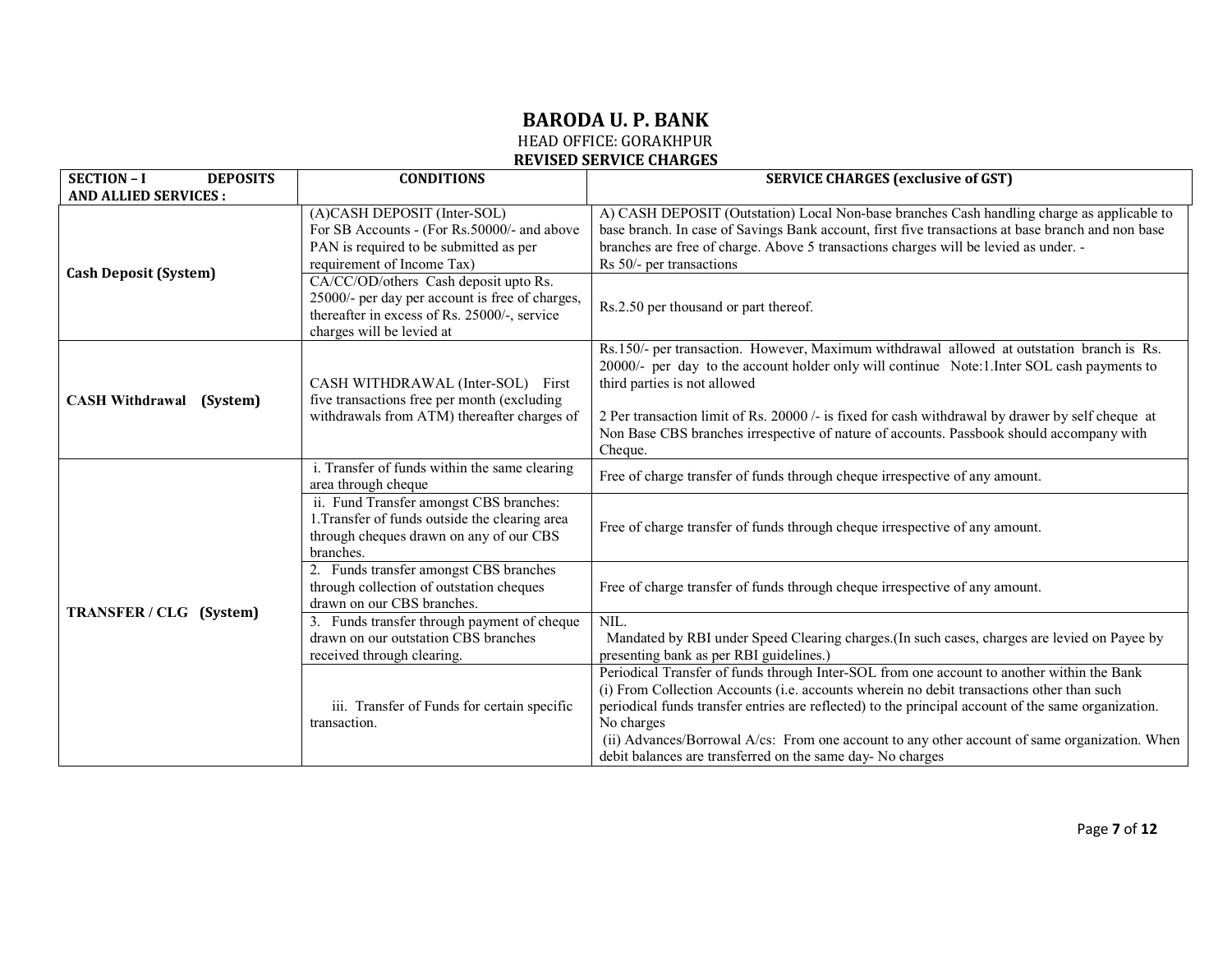# **BARODA U. P. BANK**

HEAD OFFICE: GORAKHPUR

#### **REVISED SERVICE CHARGES**

| <b>SECTION - I</b><br><b>DEPOSITS</b> | <b>CONDITIONS</b>                                                                                                                                                     | <b>SERVICE CHARGES (exclusive of GST)</b>                                                                                                                                                                                                                                                                                                                                                                                                                                   |
|---------------------------------------|-----------------------------------------------------------------------------------------------------------------------------------------------------------------------|-----------------------------------------------------------------------------------------------------------------------------------------------------------------------------------------------------------------------------------------------------------------------------------------------------------------------------------------------------------------------------------------------------------------------------------------------------------------------------|
| <b>AND ALLIED SERVICES:</b>           |                                                                                                                                                                       |                                                                                                                                                                                                                                                                                                                                                                                                                                                                             |
|                                       | (A)CASH DEPOSIT (Inter-SOL)<br>For SB Accounts - (For Rs.50000/- and above<br>PAN is required to be submitted as per<br>requirement of Income Tax)                    | A) CASH DEPOSIT (Outstation) Local Non-base branches Cash handling charge as applicable to<br>base branch. In case of Savings Bank account, first five transactions at base branch and non base<br>branches are free of charge. Above 5 transactions charges will be levied as under. -<br>Rs 50/- per transactions                                                                                                                                                         |
| <b>Cash Deposit (System)</b>          | CA/CC/OD/others Cash deposit upto Rs.<br>25000/- per day per account is free of charges,<br>thereafter in excess of Rs. 25000/-, service<br>charges will be levied at | Rs.2.50 per thousand or part thereof.                                                                                                                                                                                                                                                                                                                                                                                                                                       |
| <b>CASH Withdrawal</b><br>(System)    | CASH WITHDRAWAL (Inter-SOL) First<br>five transactions free per month (excluding<br>withdrawals from ATM) thereafter charges of                                       | Rs.150/- per transaction. However, Maximum withdrawal allowed at outstation branch is Rs.<br>20000/- per day to the account holder only will continue Note: 1. Inter SOL cash payments to<br>third parties is not allowed<br>2 Per transaction limit of Rs. 20000 /- is fixed for cash withdrawal by drawer by self cheque at<br>Non Base CBS branches irrespective of nature of accounts. Passbook should accompany with<br>Cheque.                                        |
|                                       | i. Transfer of funds within the same clearing<br>area through cheque                                                                                                  | Free of charge transfer of funds through cheque irrespective of any amount.                                                                                                                                                                                                                                                                                                                                                                                                 |
|                                       | ii. Fund Transfer amongst CBS branches:<br>1. Transfer of funds outside the clearing area<br>through cheques drawn on any of our CBS<br>branches.                     | Free of charge transfer of funds through cheque irrespective of any amount.                                                                                                                                                                                                                                                                                                                                                                                                 |
| TRANSFER / CLG (System)               | 2. Funds transfer amongst CBS branches<br>through collection of outstation cheques<br>drawn on our CBS branches.                                                      | Free of charge transfer of funds through cheque irrespective of any amount.                                                                                                                                                                                                                                                                                                                                                                                                 |
|                                       | 3. Funds transfer through payment of cheque<br>drawn on our outstation CBS branches<br>received through clearing.                                                     | NIL.<br>Mandated by RBI under Speed Clearing charges. (In such cases, charges are levied on Payee by<br>presenting bank as per RBI guidelines.)                                                                                                                                                                                                                                                                                                                             |
|                                       | iii. Transfer of Funds for certain specific<br>transaction.                                                                                                           | Periodical Transfer of funds through Inter-SOL from one account to another within the Bank<br>(i) From Collection Accounts (i.e. accounts wherein no debit transactions other than such<br>periodical funds transfer entries are reflected) to the principal account of the same organization.<br>No charges<br>(ii) Advances/Borrowal A/cs: From one account to any other account of same organization. When<br>debit balances are transferred on the same day- No charges |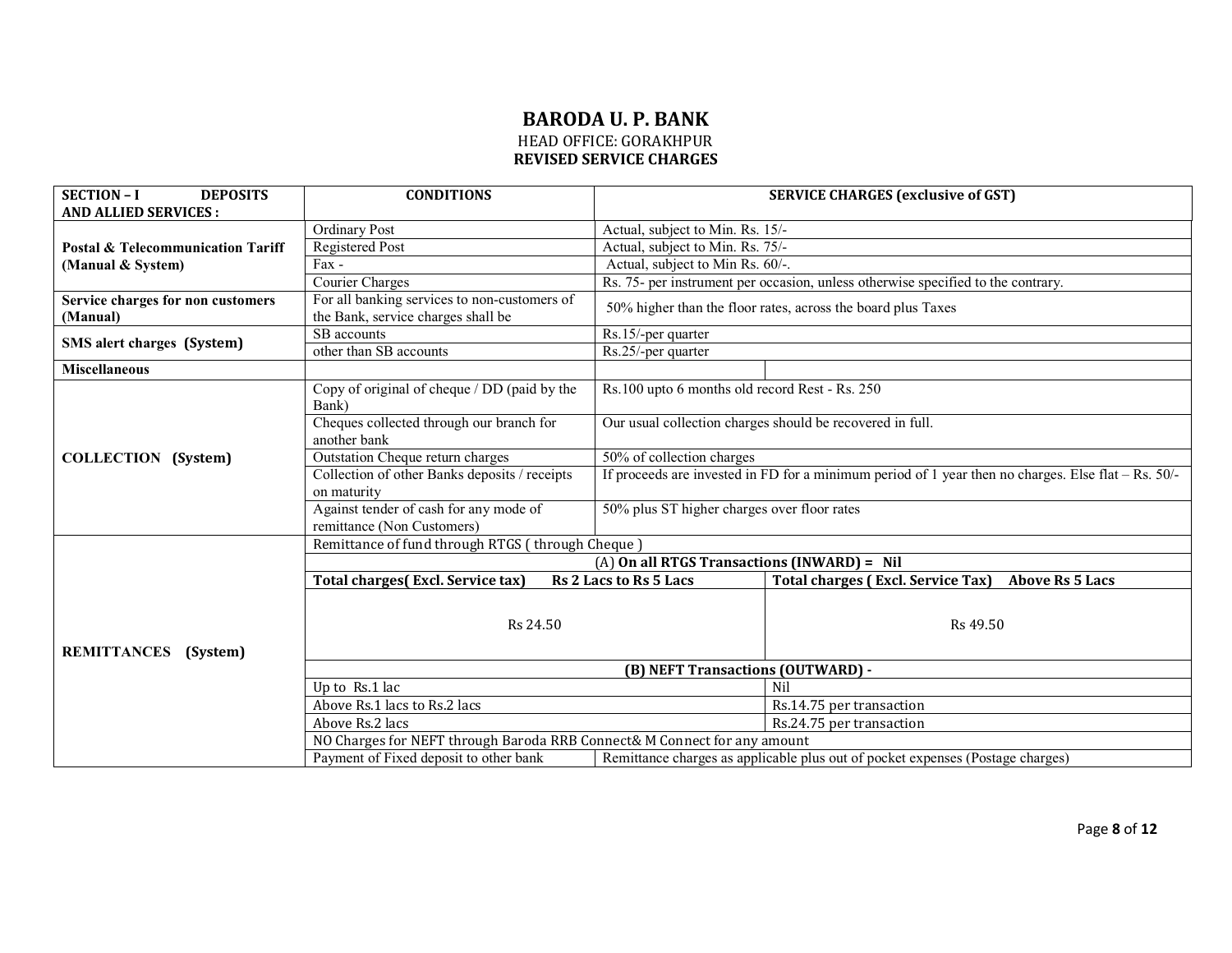| <b>SECTION - I</b><br><b>DEPOSITS</b>        | <b>CONDITIONS</b>                                                                                                        | <b>SERVICE CHARGES (exclusive of GST)</b>                                                             |                                                                                  |
|----------------------------------------------|--------------------------------------------------------------------------------------------------------------------------|-------------------------------------------------------------------------------------------------------|----------------------------------------------------------------------------------|
| <b>AND ALLIED SERVICES:</b>                  |                                                                                                                          |                                                                                                       |                                                                                  |
|                                              | <b>Ordinary Post</b>                                                                                                     | Actual, subject to Min. Rs. 15/-                                                                      |                                                                                  |
| <b>Postal &amp; Telecommunication Tariff</b> | <b>Registered Post</b>                                                                                                   | Actual, subject to Min. Rs. 75/-                                                                      |                                                                                  |
| (Manual & System)                            | $Fax -$                                                                                                                  | Actual, subject to Min Rs. 60/-.                                                                      |                                                                                  |
|                                              | Courier Charges                                                                                                          |                                                                                                       | Rs. 75- per instrument per occasion, unless otherwise specified to the contrary. |
| Service charges for non customers            | For all banking services to non-customers of                                                                             |                                                                                                       | 50% higher than the floor rates, across the board plus Taxes                     |
| (Manual)                                     | the Bank, service charges shall be                                                                                       |                                                                                                       |                                                                                  |
|                                              | SB accounts                                                                                                              | Rs.15/-per quarter                                                                                    |                                                                                  |
| SMS alert charges (System)                   | other than SB accounts                                                                                                   | Rs.25/-per quarter                                                                                    |                                                                                  |
| <b>Miscellaneous</b>                         |                                                                                                                          |                                                                                                       |                                                                                  |
|                                              | Copy of original of cheque / DD (paid by the<br>Bank)                                                                    | Rs.100 upto 6 months old record Rest - Rs. 250                                                        |                                                                                  |
|                                              | Cheques collected through our branch for<br>another bank                                                                 | Our usual collection charges should be recovered in full.                                             |                                                                                  |
| <b>COLLECTION</b> (System)                   | <b>Outstation Cheque return charges</b>                                                                                  | 50% of collection charges                                                                             |                                                                                  |
|                                              | Collection of other Banks deposits / receipts                                                                            | If proceeds are invested in FD for a minimum period of 1 year then no charges. Else flat $-$ Rs. 50/- |                                                                                  |
|                                              | on maturity                                                                                                              |                                                                                                       |                                                                                  |
|                                              | Against tender of cash for any mode of                                                                                   | 50% plus ST higher charges over floor rates                                                           |                                                                                  |
|                                              | remittance (Non Customers)                                                                                               |                                                                                                       |                                                                                  |
|                                              | Remittance of fund through RTGS (through Cheque)                                                                         |                                                                                                       |                                                                                  |
|                                              |                                                                                                                          | (A) On all RTGS Transactions (INWARD) = Nil                                                           |                                                                                  |
|                                              | <b>Total charges</b> (Excl. Service tax)                                                                                 | Rs 2 Lacs to Rs 5 Lacs                                                                                | <b>Total charges (Excl. Service Tax)</b><br><b>Above Rs 5 Lacs</b>               |
| <b>REMITTANCES</b><br>(System)               | Rs 24.50                                                                                                                 |                                                                                                       | Rs 49.50                                                                         |
|                                              |                                                                                                                          | (B) NEFT Transactions (OUTWARD) -                                                                     |                                                                                  |
|                                              | Up to Rs.1 lac                                                                                                           |                                                                                                       | Nil                                                                              |
|                                              | Above Rs.1 lacs to Rs.2 lacs                                                                                             |                                                                                                       | Rs.14.75 per transaction                                                         |
|                                              | Above Rs.2 lacs                                                                                                          |                                                                                                       | Rs.24.75 per transaction                                                         |
|                                              | NO Charges for NEFT through Baroda RRB Connect& M Connect for any amount                                                 |                                                                                                       |                                                                                  |
|                                              | Payment of Fixed deposit to other bank<br>Remittance charges as applicable plus out of pocket expenses (Postage charges) |                                                                                                       |                                                                                  |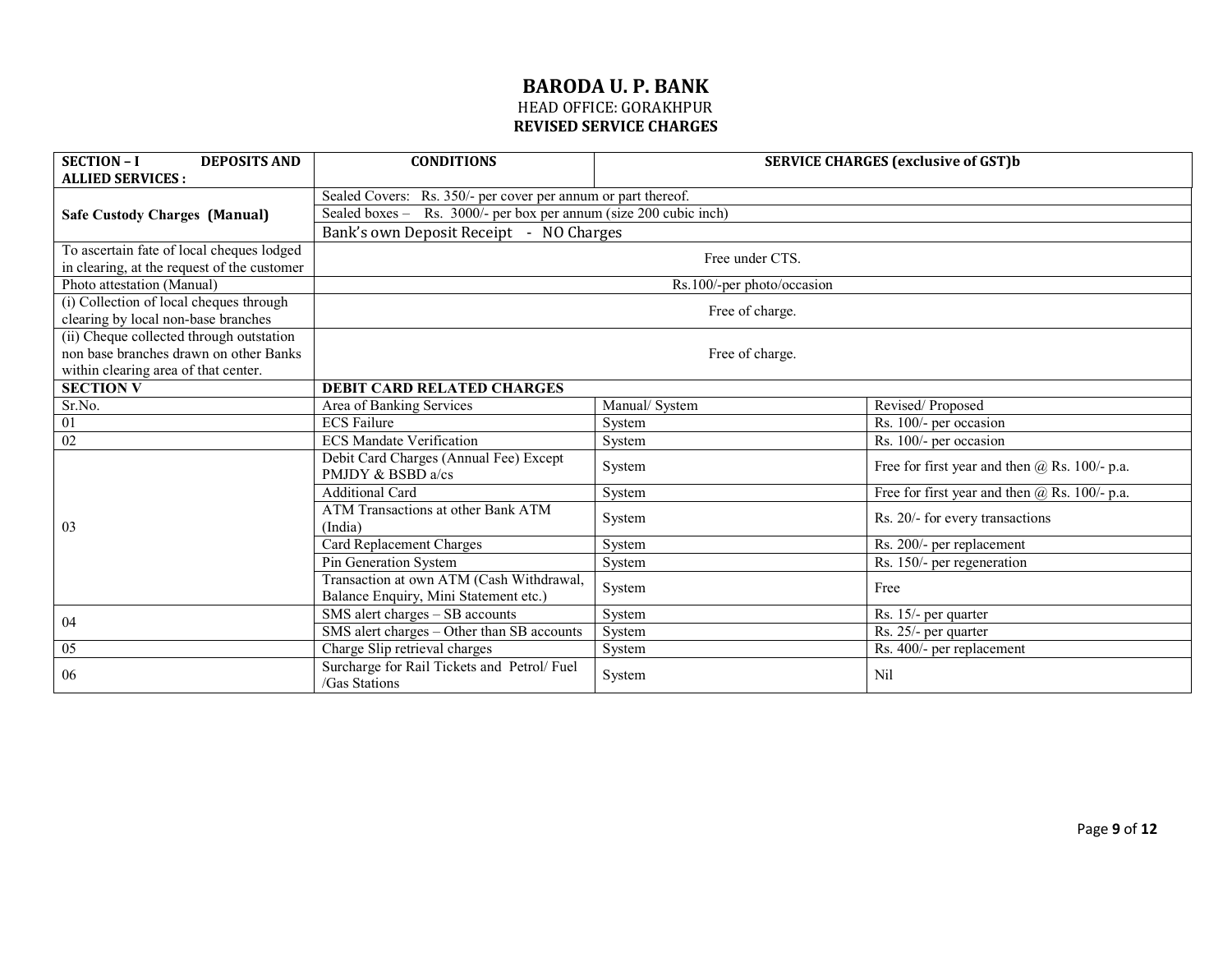| <b>SECTION - I</b><br><b>DEPOSITS AND</b><br><b>ALLIED SERVICES:</b> | <b>CONDITIONS</b>                                                                 | <b>SERVICE CHARGES (exclusive of GST)b</b> |                                                   |
|----------------------------------------------------------------------|-----------------------------------------------------------------------------------|--------------------------------------------|---------------------------------------------------|
|                                                                      | Sealed Covers: Rs. 350/- per cover per annum or part thereof.                     |                                            |                                                   |
| <b>Safe Custody Charges (Manual)</b>                                 | Sealed boxes - Rs. 3000/- per box per annum (size 200 cubic inch)                 |                                            |                                                   |
|                                                                      | Bank's own Deposit Receipt - NO Charges                                           |                                            |                                                   |
| To ascertain fate of local cheques lodged                            |                                                                                   | Free under CTS.                            |                                                   |
| in clearing, at the request of the customer                          |                                                                                   |                                            |                                                   |
| Photo attestation (Manual)                                           |                                                                                   | Rs.100/-per photo/occasion                 |                                                   |
| (i) Collection of local cheques through                              |                                                                                   | Free of charge.                            |                                                   |
| clearing by local non-base branches                                  |                                                                                   |                                            |                                                   |
| (ii) Cheque collected through outstation                             |                                                                                   |                                            |                                                   |
| non base branches drawn on other Banks                               |                                                                                   | Free of charge.                            |                                                   |
| within clearing area of that center.                                 |                                                                                   |                                            |                                                   |
| <b>SECTION V</b>                                                     | <b>DEBIT CARD RELATED CHARGES</b>                                                 |                                            |                                                   |
| Sr.No.                                                               | Area of Banking Services                                                          | Manual/ System                             | Revised/Proposed                                  |
| $\overline{01}$                                                      | <b>ECS Failure</b>                                                                | System                                     | $\overline{\text{Rs}}$ . 100/- per occasion       |
| 02                                                                   | <b>ECS</b> Mandate Verification                                                   | System                                     | Rs. 100/- per occasion                            |
|                                                                      | Debit Card Charges (Annual Fee) Except<br>PMJDY & BSBD a/cs                       | System                                     | Free for first year and then $(a)$ Rs. 100/- p.a. |
|                                                                      | <b>Additional Card</b>                                                            | System                                     | Free for first year and then @ Rs. 100/- p.a.     |
| 03                                                                   | ATM Transactions at other Bank ATM<br>(India)                                     | System                                     | Rs. 20/- for every transactions                   |
|                                                                      | <b>Card Replacement Charges</b>                                                   | System                                     | Rs. 200/- per replacement                         |
|                                                                      | Pin Generation System                                                             | System                                     | Rs. 150/- per regeneration                        |
|                                                                      | Transaction at own ATM (Cash Withdrawal,<br>Balance Enquiry, Mini Statement etc.) | System                                     | Free                                              |
|                                                                      | SMS alert charges - SB accounts                                                   | System                                     | Rs. 15/- per quarter                              |
| 04                                                                   | SMS alert charges - Other than SB accounts                                        | System                                     | Rs. 25/- per quarter                              |
| 05                                                                   | Charge Slip retrieval charges                                                     | System                                     | Rs. 400/- per replacement                         |
| 06                                                                   | Surcharge for Rail Tickets and Petrol/Fuel<br>/Gas Stations                       | System                                     | Nil                                               |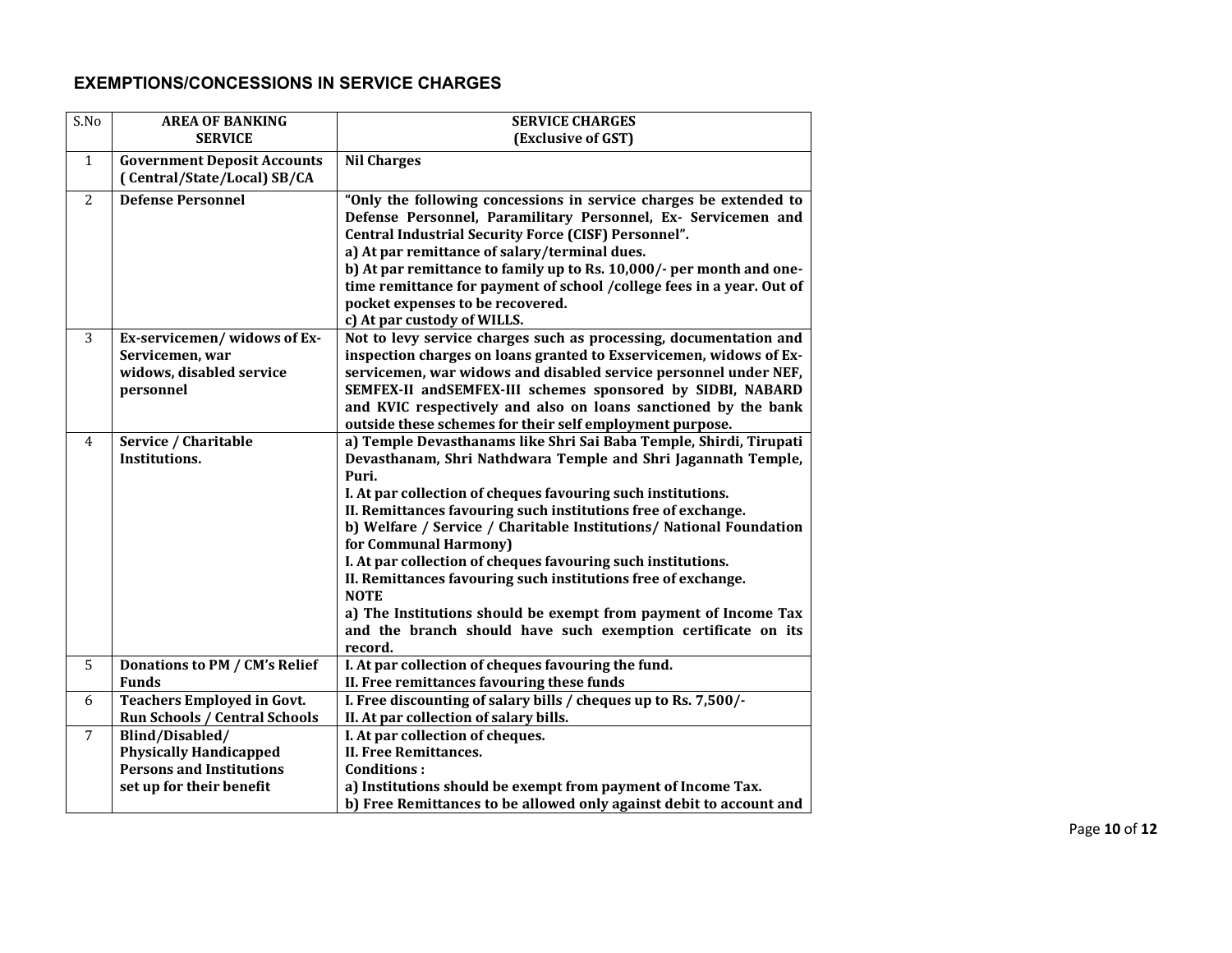# **EXEMPTIONS/CONCESSIONS IN SERVICE CHARGES**

| S.No           | <b>AREA OF BANKING</b>                                            | <b>SERVICE CHARGES</b>                                                                                                        |
|----------------|-------------------------------------------------------------------|-------------------------------------------------------------------------------------------------------------------------------|
|                | <b>SERVICE</b>                                                    | (Exclusive of GST)                                                                                                            |
| $\mathbf{1}$   | <b>Government Deposit Accounts</b><br>(Central/State/Local) SB/CA | <b>Nil Charges</b>                                                                                                            |
|                |                                                                   |                                                                                                                               |
| 2              | <b>Defense Personnel</b>                                          | "Only the following concessions in service charges be extended to                                                             |
|                |                                                                   | Defense Personnel, Paramilitary Personnel, Ex- Servicemen and                                                                 |
|                |                                                                   | Central Industrial Security Force (CISF) Personnel".                                                                          |
|                |                                                                   | a) At par remittance of salary/terminal dues.                                                                                 |
|                |                                                                   | b) At par remittance to family up to Rs. 10,000/- per month and one-                                                          |
|                |                                                                   | time remittance for payment of school /college fees in a year. Out of                                                         |
|                |                                                                   | pocket expenses to be recovered.                                                                                              |
|                |                                                                   | c) At par custody of WILLS.                                                                                                   |
| 3              | Ex-servicemen/widows of Ex-                                       | Not to levy service charges such as processing, documentation and                                                             |
|                | Servicemen, war                                                   | inspection charges on loans granted to Exservicemen, widows of Ex-                                                            |
|                | widows, disabled service                                          | servicemen, war widows and disabled service personnel under NEF,                                                              |
|                | personnel                                                         | SEMFEX-II and SEMFEX-III schemes sponsored by SIDBI, NABARD                                                                   |
|                |                                                                   | and KVIC respectively and also on loans sanctioned by the bank                                                                |
|                |                                                                   | outside these schemes for their self employment purpose.                                                                      |
| 4              | Service / Charitable                                              | a) Temple Devasthanams like Shri Sai Baba Temple, Shirdi, Tirupati                                                            |
|                | Institutions.                                                     | Devasthanam, Shri Nathdwara Temple and Shri Jagannath Temple,                                                                 |
|                |                                                                   | Puri.                                                                                                                         |
|                |                                                                   | I. At par collection of cheques favouring such institutions.<br>II. Remittances favouring such institutions free of exchange. |
|                |                                                                   | b) Welfare / Service / Charitable Institutions/ National Foundation                                                           |
|                |                                                                   | for Communal Harmony)                                                                                                         |
|                |                                                                   | I. At par collection of cheques favouring such institutions.                                                                  |
|                |                                                                   | II. Remittances favouring such institutions free of exchange.                                                                 |
|                |                                                                   | <b>NOTE</b>                                                                                                                   |
|                |                                                                   | a) The Institutions should be exempt from payment of Income Tax                                                               |
|                |                                                                   | and the branch should have such exemption certificate on its                                                                  |
|                |                                                                   | record.                                                                                                                       |
| 5              | Donations to PM / CM's Relief                                     | I. At par collection of cheques favouring the fund.                                                                           |
|                | <b>Funds</b>                                                      | II. Free remittances favouring these funds                                                                                    |
| 6              | <b>Teachers Employed in Govt.</b>                                 | I. Free discounting of salary bills / cheques up to Rs. 7,500/-                                                               |
|                | Run Schools / Central Schools                                     | II. At par collection of salary bills.                                                                                        |
| $\overline{7}$ | Blind/Disabled/                                                   | I. At par collection of cheques.                                                                                              |
|                | <b>Physically Handicapped</b>                                     | II. Free Remittances.                                                                                                         |
|                | <b>Persons and Institutions</b>                                   | <b>Conditions:</b>                                                                                                            |
|                | set up for their benefit                                          | a) Institutions should be exempt from payment of Income Tax.                                                                  |
|                |                                                                   | b) Free Remittances to be allowed only against debit to account and                                                           |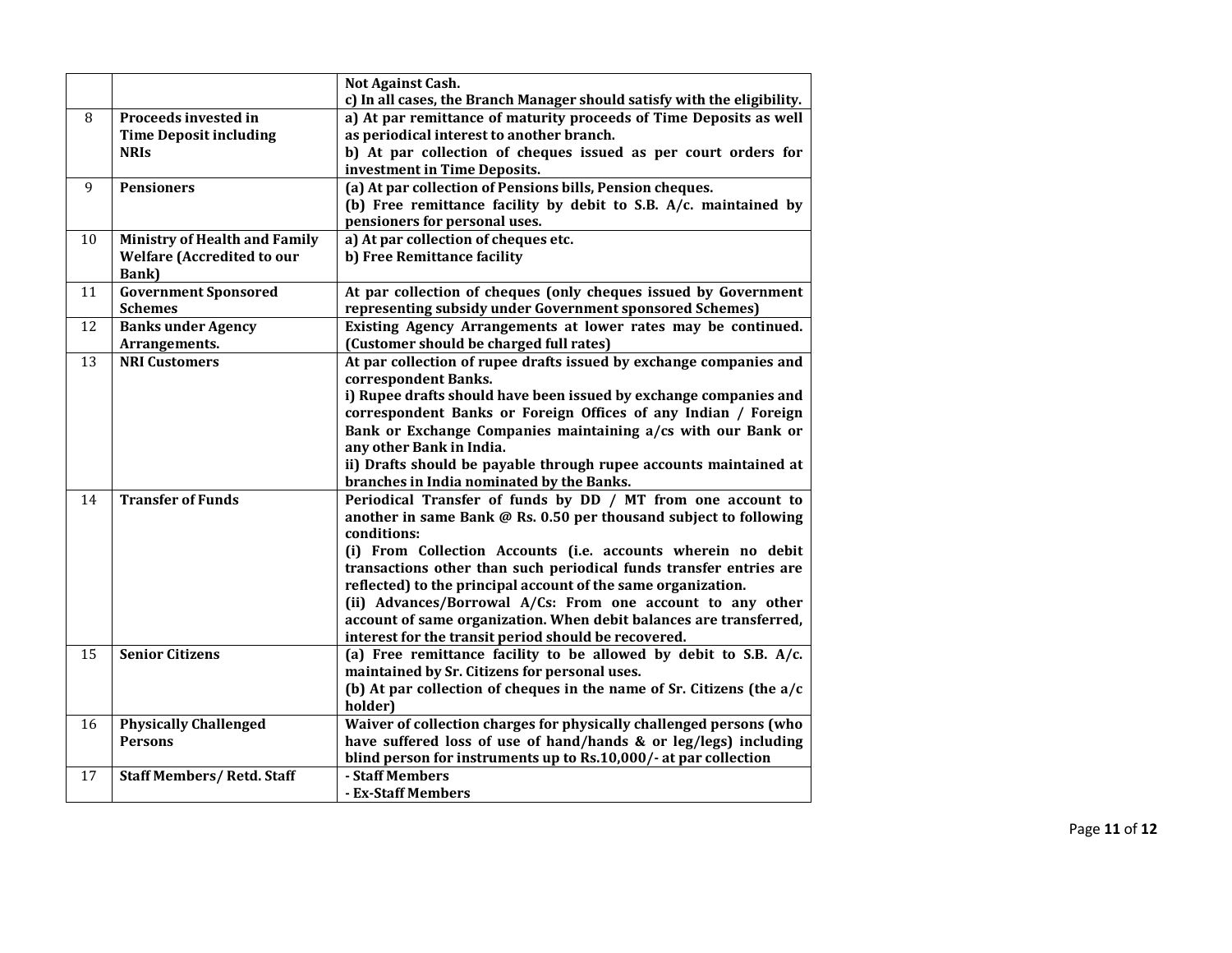|    |                                      | Not Against Cash.                                                                                                                |
|----|--------------------------------------|----------------------------------------------------------------------------------------------------------------------------------|
|    |                                      | c) In all cases, the Branch Manager should satisfy with the eligibility.                                                         |
| 8  | Proceeds invested in                 | a) At par remittance of maturity proceeds of Time Deposits as well                                                               |
|    | <b>Time Deposit including</b>        | as periodical interest to another branch.                                                                                        |
|    | <b>NRIS</b>                          | b) At par collection of cheques issued as per court orders for                                                                   |
|    |                                      | investment in Time Deposits.                                                                                                     |
| 9  | <b>Pensioners</b>                    | (a) At par collection of Pensions bills, Pension cheques.                                                                        |
|    |                                      | (b) Free remittance facility by debit to S.B. A/c. maintained by                                                                 |
|    |                                      | pensioners for personal uses.                                                                                                    |
| 10 | <b>Ministry of Health and Family</b> | a) At par collection of cheques etc.                                                                                             |
|    | <b>Welfare (Accredited to our</b>    | b) Free Remittance facility                                                                                                      |
|    | Bank)                                |                                                                                                                                  |
| 11 | <b>Government Sponsored</b>          | At par collection of cheques (only cheques issued by Government                                                                  |
|    | <b>Schemes</b>                       | representing subsidy under Government sponsored Schemes)                                                                         |
| 12 | <b>Banks under Agency</b>            | Existing Agency Arrangements at lower rates may be continued.                                                                    |
|    | Arrangements.                        | (Customer should be charged full rates)                                                                                          |
| 13 | <b>NRI Customers</b>                 | At par collection of rupee drafts issued by exchange companies and                                                               |
|    |                                      | correspondent Banks.                                                                                                             |
|    |                                      | i) Rupee drafts should have been issued by exchange companies and                                                                |
|    |                                      | correspondent Banks or Foreign Offices of any Indian / Foreign                                                                   |
|    |                                      | Bank or Exchange Companies maintaining a/cs with our Bank or                                                                     |
|    |                                      | any other Bank in India.                                                                                                         |
|    |                                      | ii) Drafts should be payable through rupee accounts maintained at                                                                |
|    | <b>Transfer of Funds</b>             | branches in India nominated by the Banks.                                                                                        |
| 14 |                                      | Periodical Transfer of funds by DD / MT from one account to<br>another in same Bank @ Rs. 0.50 per thousand subject to following |
|    |                                      | conditions:                                                                                                                      |
|    |                                      | (i) From Collection Accounts (i.e. accounts wherein no debit                                                                     |
|    |                                      | transactions other than such periodical funds transfer entries are                                                               |
|    |                                      | reflected) to the principal account of the same organization.                                                                    |
|    |                                      | (ii) Advances/Borrowal A/Cs: From one account to any other                                                                       |
|    |                                      | account of same organization. When debit balances are transferred,                                                               |
|    |                                      | interest for the transit period should be recovered.                                                                             |
| 15 | <b>Senior Citizens</b>               | (a) Free remittance facility to be allowed by debit to S.B. $A/c$ .                                                              |
|    |                                      | maintained by Sr. Citizens for personal uses.                                                                                    |
|    |                                      | (b) At par collection of cheques in the name of Sr. Citizens (the a/c                                                            |
|    |                                      | holder)                                                                                                                          |
| 16 | <b>Physically Challenged</b>         | Waiver of collection charges for physically challenged persons (who                                                              |
|    | <b>Persons</b>                       | have suffered loss of use of hand/hands & or leg/legs) including                                                                 |
|    |                                      | blind person for instruments up to Rs.10,000/- at par collection                                                                 |
| 17 | <b>Staff Members/Retd. Staff</b>     | - Staff Members                                                                                                                  |
|    |                                      | - Ex-Staff Members                                                                                                               |